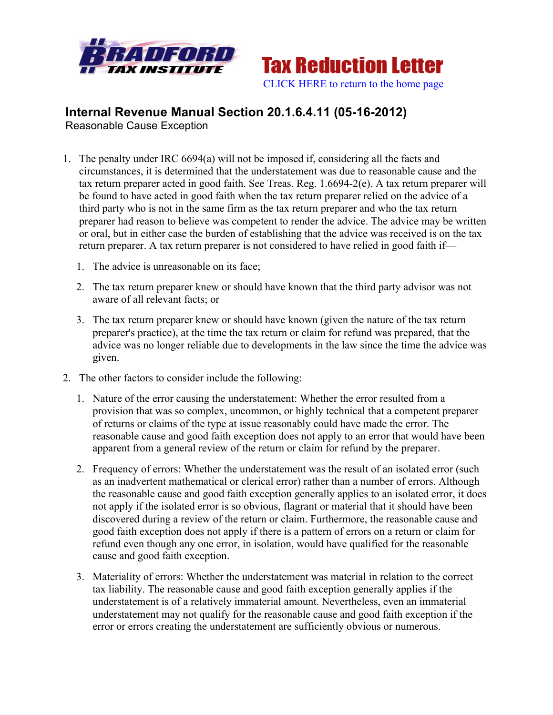



## **Internal Revenue Manual Section 20.1.6.4.11 (05-16-2012)** Reasonable Cause Exception

- 1. The penalty under IRC 6694(a) will not be imposed if, considering all the facts and circumstances, it is determined that the understatement was due to reasonable cause and the tax return preparer acted in good faith. See Treas. Reg. 1.6694-2(e). A tax return preparer will be found to have acted in good faith when the tax return preparer relied on the advice of a third party who is not in the same firm as the tax return preparer and who the tax return preparer had reason to believe was competent to render the advice. The advice may be written or oral, but in either case the burden of establishing that the advice was received is on the tax return preparer. A tax return preparer is not considered to have relied in good faith if—
	- 1. The advice is unreasonable on its face;
	- 2. The tax return preparer knew or should have known that the third party advisor was not aware of all relevant facts; or
	- 3. The tax return preparer knew or should have known (given the nature of the tax return preparer's practice), at the time the tax return or claim for refund was prepared, that the advice was no longer reliable due to developments in the law since the time the advice was given.
- 2. The other factors to consider include the following:
	- 1. Nature of the error causing the understatement: Whether the error resulted from a provision that was so complex, uncommon, or highly technical that a competent preparer of returns or claims of the type at issue reasonably could have made the error. The reasonable cause and good faith exception does not apply to an error that would have been apparent from a general review of the return or claim for refund by the preparer.
	- 2. Frequency of errors: Whether the understatement was the result of an isolated error (such as an inadvertent mathematical or clerical error) rather than a number of errors. Although the reasonable cause and good faith exception generally applies to an isolated error, it does not apply if the isolated error is so obvious, flagrant or material that it should have been discovered during a review of the return or claim. Furthermore, the reasonable cause and good faith exception does not apply if there is a pattern of errors on a return or claim for refund even though any one error, in isolation, would have qualified for the reasonable cause and good faith exception.
	- 3. Materiality of errors: Whether the understatement was material in relation to the correct tax liability. The reasonable cause and good faith exception generally applies if the understatement is of a relatively immaterial amount. Nevertheless, even an immaterial understatement may not qualify for the reasonable cause and good faith exception if the error or errors creating the understatement are sufficiently obvious or numerous.